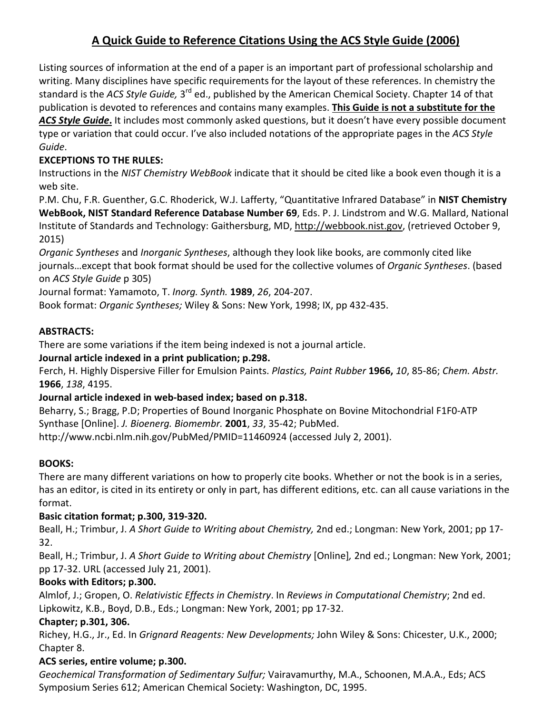# A Quick Guide to Reference Citations Using the ACS Style Guide (2006)

Listing sources of information at the end of a paper is an important part of professional scholarship and writing. Many disciplines have specific requirements for the layout of these references. In chemistry the standard is the ACS Style Guide, 3<sup>rd</sup> ed., published by the American Chemical Society. Chapter 14 of that publication is devoted to references and contains many examples. This Guide is not a substitute for the

ACS Style Guide. It includes most commonly asked questions, but it doesn't have every possible document type or variation that could occur. I've also included notations of the appropriate pages in the ACS Style Guide.

# EXCEPTIONS TO THE RULES:

Instructions in the NIST Chemistry WebBook indicate that it should be cited like a book even though it is a web site.

P.M. Chu, F.R. Guenther, G.C. Rhoderick, W.J. Lafferty, "Quantitative Infrared Database" in NIST Chemistry WebBook, NIST Standard Reference Database Number 69, Eds. P. J. Lindstrom and W.G. Mallard, National Institute of Standards and Technology: Gaithersburg, MD, http://webbook.nist.gov, (retrieved October 9, 2015)

Organic Syntheses and Inorganic Syntheses, although they look like books, are commonly cited like journals…except that book format should be used for the collective volumes of Organic Syntheses. (based on ACS Style Guide p 305)

Journal format: Yamamoto, T. Inorg. Synth. 1989, 26, 204-207.

Book format: Organic Syntheses; Wiley & Sons: New York, 1998; IX, pp 432-435.

# ABSTRACTS:

There are some variations if the item being indexed is not a journal article.

## Journal article indexed in a print publication; p.298.

Ferch, H. Highly Dispersive Filler for Emulsion Paints. Plastics, Paint Rubber 1966, 10, 85-86; Chem. Abstr. 1966, 138, 4195.

## Journal article indexed in web-based index; based on p.318.

Beharry, S.; Bragg, P.D; Properties of Bound Inorganic Phosphate on Bovine Mitochondrial F1F0-ATP Synthase [Online]. J. Bioenerg. Biomembr. 2001, 33, 35-42; PubMed. http://www.ncbi.nlm.nih.gov/PubMed/PMID=11460924 (accessed July 2, 2001).

## BOOKS:

There are many different variations on how to properly cite books. Whether or not the book is in a series, has an editor, is cited in its entirety or only in part, has different editions, etc. can all cause variations in the format.

# Basic citation format; p.300, 319-320.

Beall, H.; Trimbur, J. A Short Guide to Writing about Chemistry, 2nd ed.; Longman: New York, 2001; pp 17-32.

Beall, H.; Trimbur, J. A Short Guide to Writing about Chemistry [Online], 2nd ed.; Longman: New York, 2001; pp 17-32. URL (accessed July 21, 2001).

## Books with Editors; p.300.

Almlof, J.; Gropen, O. Relativistic Effects in Chemistry. In Reviews in Computational Chemistry; 2nd ed. Lipkowitz, K.B., Boyd, D.B., Eds.; Longman: New York, 2001; pp 17-32.

# Chapter; p.301, 306.

Richey, H.G., Jr., Ed. In Grignard Reagents: New Developments; John Wiley & Sons: Chicester, U.K., 2000; Chapter 8.

## ACS series, entire volume; p.300.

Geochemical Transformation of Sedimentary Sulfur; Vairavamurthy, M.A., Schoonen, M.A.A., Eds; ACS Symposium Series 612; American Chemical Society: Washington, DC, 1995.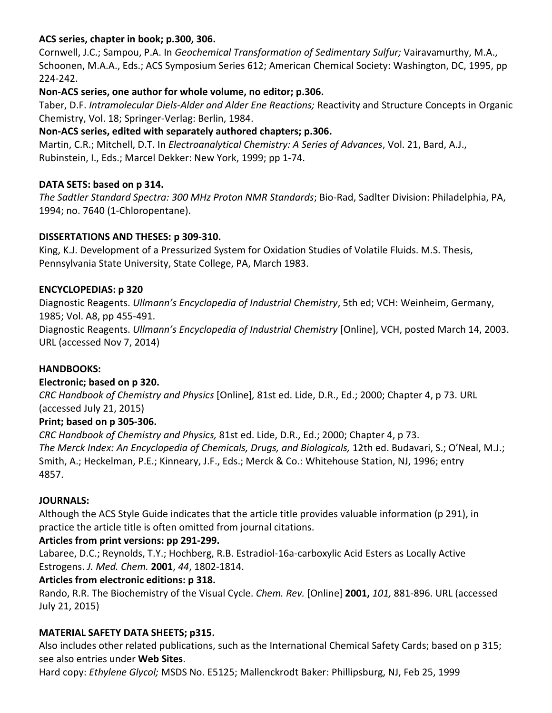## ACS series, chapter in book; p.300, 306.

Cornwell, J.C.; Sampou, P.A. In Geochemical Transformation of Sedimentary Sulfur; Vairavamurthy, M.A., Schoonen, M.A.A., Eds.; ACS Symposium Series 612; American Chemical Society: Washington, DC, 1995, pp 224-242.

## Non-ACS series, one author for whole volume, no editor; p.306.

Taber, D.F. Intramolecular Diels-Alder and Alder Ene Reactions; Reactivity and Structure Concepts in Organic Chemistry, Vol. 18; Springer-Verlag: Berlin, 1984.

## Non-ACS series, edited with separately authored chapters; p.306.

Martin, C.R.; Mitchell, D.T. In *Electroanalytical Chemistry: A Series of Advances*, Vol. 21, Bard, A.J., Rubinstein, I., Eds.; Marcel Dekker: New York, 1999; pp 1-74.

## DATA SETS: based on p 314.

The Sadtler Standard Spectra: 300 MHz Proton NMR Standards; Bio-Rad, Sadlter Division: Philadelphia, PA, 1994; no. 7640 (1-Chloropentane).

## DISSERTATIONS AND THESES: p 309-310.

King, K.J. Development of a Pressurized System for Oxidation Studies of Volatile Fluids. M.S. Thesis, Pennsylvania State University, State College, PA, March 1983.

## ENCYCLOPEDIAS: p 320

Diagnostic Reagents. Ullmann's Encyclopedia of Industrial Chemistry, 5th ed; VCH: Weinheim, Germany, 1985; Vol. A8, pp 455-491.

Diagnostic Reagents. *Ullmann's Encyclopedia of Industrial Chemistry* [Online], VCH, posted March 14, 2003. URL (accessed Nov 7, 2014)

## HANDBOOKS:

## Electronic; based on p 320.

CRC Handbook of Chemistry and Physics [Online], 81st ed. Lide, D.R., Ed.; 2000; Chapter 4, p 73. URL (accessed July 21, 2015)

## Print; based on p 305-306.

CRC Handbook of Chemistry and Physics, 81st ed. Lide, D.R., Ed.; 2000; Chapter 4, p 73. The Merck Index: An Encyclopedia of Chemicals, Drugs, and Biologicals, 12th ed. Budavari, S.; O'Neal, M.J.; Smith, A.; Heckelman, P.E.; Kinneary, J.F., Eds.; Merck & Co.: Whitehouse Station, NJ, 1996; entry 4857.

## JOURNALS:

Although the ACS Style Guide indicates that the article title provides valuable information (p 291), in practice the article title is often omitted from journal citations.

## Articles from print versions: pp 291-299.

Labaree, D.C.; Reynolds, T.Y.; Hochberg, R.B. Estradiol-16a-carboxylic Acid Esters as Locally Active Estrogens. J. Med. Chem. 2001, 44, 1802-1814.

## Articles from electronic editions: p 318.

Rando, R.R. The Biochemistry of the Visual Cycle. Chem. Rev. [Online] 2001, 101, 881-896. URL (accessed July 21, 2015)

## MATERIAL SAFETY DATA SHEETS; p315.

Also includes other related publications, such as the International Chemical Safety Cards; based on p 315; see also entries under Web Sites.

Hard copy: Ethylene Glycol; MSDS No. E5125; Mallenckrodt Baker: Phillipsburg, NJ, Feb 25, 1999